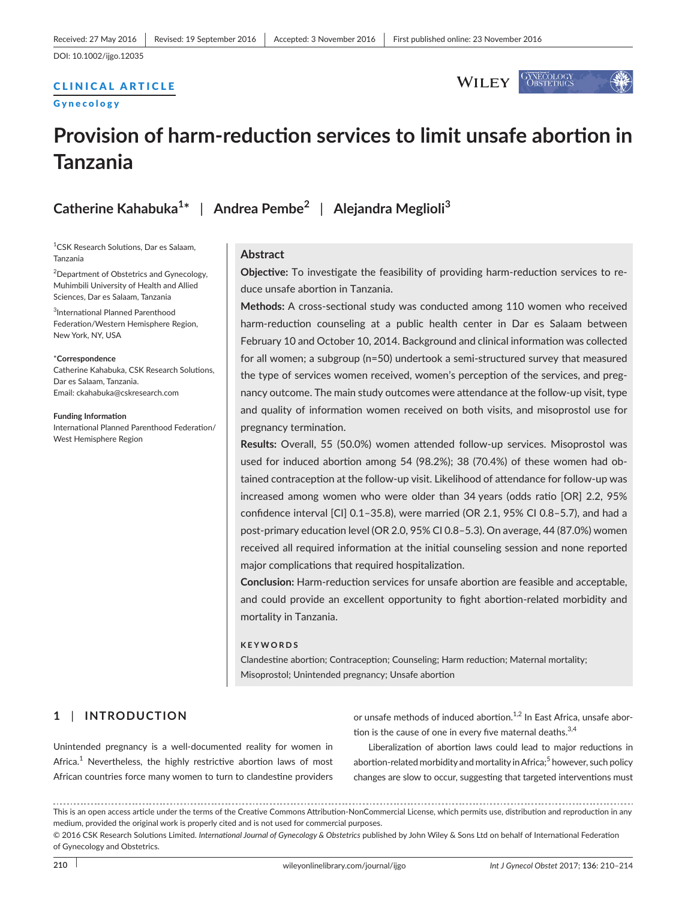DOI: 10.1002/ijgo.12035

# CLINICAL ARTICLE

#### Gynecology



# **Provision of harm-reduction services to limit unsafe abortion in Tanzania**

**Catherine Kahabuka<sup>1</sup> \*** | **Andrea Pembe<sup>2</sup>** | **Alejandra Meglioli<sup>3</sup>**

1 CSK Research Solutions, Dar es Salaam, Tanzania

<sup>2</sup> Department of Obstetrics and Gynecology, Muhimbili University of Health and Allied Sciences, Dar es Salaam, Tanzania

3 International Planned Parenthood Federation/Western Hemisphere Region, New York, NY, USA

#### \***Correspondence**

Catherine Kahabuka, CSK Research Solutions, Dar es Salaam, Tanzania. Email: [ckahabuka@cskresearch.com](mailto:ckahabuka@cskresearch.com)

**Funding Information**

International Planned Parenthood Federation/ West Hemisphere Region

**Abstract**

**Objective:** To investigate the feasibility of providing harm-reduction services to reduce unsafe abortion in Tanzania.

**Methods:** A cross-sectional study was conducted among 110 women who received harm-reduction counseling at a public health center in Dar es Salaam between February 10 and October 10, 2014. Background and clinical information was collected for all women; a subgroup (n=50) undertook a semi-structured survey that measured the type of services women received, women's perception of the services, and pregnancy outcome. The main study outcomes were attendance at the follow-up visit, type and quality of information women received on both visits, and misoprostol use for pregnancy termination.

**Results:** Overall, 55 (50.0%) women attended follow-up services. Misoprostol was used for induced abortion among 54 (98.2%); 38 (70.4%) of these women had obtained contraception at the follow-up visit. Likelihood of attendance for follow-up was increased among women who were older than 34 years (odds ratio [OR] 2.2, 95% confidence interval [CI] 0.1–35.8), were married (OR 2.1, 95% CI 0.8–5.7), and had a post-primary education level (OR 2.0, 95% CI 0.8–5.3). On average, 44 (87.0%) women received all required information at the initial counseling session and none reported major complications that required hospitalization.

**Conclusion:** Harm-reduction services for unsafe abortion are feasible and acceptable, and could provide an excellent opportunity to fight abortion-related morbidity and mortality in Tanzania.

#### **KEYWORDS**

Clandestine abortion; Contraception; Counseling; Harm reduction; Maternal mortality; Misoprostol; Unintended pregnancy; Unsafe abortion

# **1** | **INTRODUCTION**

Unintended pregnancy is a well-documented reality for women in Africa. $1$  Nevertheless, the highly restrictive abortion laws of most African countries force many women to turn to clandestine providers or unsafe methods of induced abortion.<sup>1,2</sup> In East Africa, unsafe abortion is the cause of one in every five maternal deaths. $^{3,4}$ 

Liberalization of abortion laws could lead to major reductions in abortion-related morbidity and mortality in Africa;<sup>5</sup> however, such policy changes are slow to occur, suggesting that targeted interventions must

This is an open access article under the terms of the Creative Commons Attribution-NonCommercial License, which permits use, distribution and reproduction in any medium, provided the original work is properly cited and is not used for commercial purposes.

<sup>© 2016</sup> CSK Research Solutions Limited. *International Journal of Gynecology & Obstetrics* published by John Wiley & Sons Ltd on behalf of International Federation of Gynecology and Obstetrics.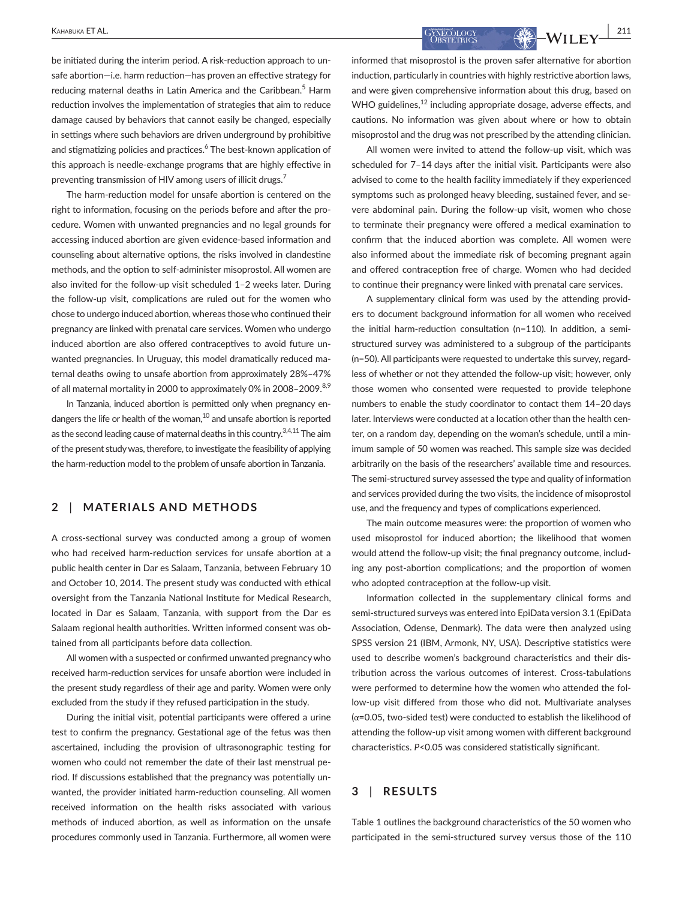be initiated during the interim period. A risk-reduction approach to unsafe abortion—i.e. harm reduction—has proven an effective strategy for reducing maternal deaths in Latin America and the Caribbean.<sup>5</sup> Harm reduction involves the implementation of strategies that aim to reduce damage caused by behaviors that cannot easily be changed, especially in settings where such behaviors are driven underground by prohibitive and stigmatizing policies and practices.<sup>6</sup> The best-known application of this approach is needle-exchange programs that are highly effective in preventing transmission of HIV among users of illicit drugs.<sup>7</sup>

The harm-reduction model for unsafe abortion is centered on the right to information, focusing on the periods before and after the procedure. Women with unwanted pregnancies and no legal grounds for accessing induced abortion are given evidence-based information and counseling about alternative options, the risks involved in clandestine methods, and the option to self-administer misoprostol. All women are also invited for the follow-up visit scheduled 1–2 weeks later. During the follow-up visit, complications are ruled out for the women who chose to undergo induced abortion, whereas those who continued their pregnancy are linked with prenatal care services. Women who undergo induced abortion are also offered contraceptives to avoid future unwanted pregnancies. In Uruguay, this model dramatically reduced maternal deaths owing to unsafe abortion from approximately 28%–47% of all maternal mortality in 2000 to approximately 0% in 2008–2009.<sup>8,9</sup>

In Tanzania, induced abortion is permitted only when pregnancy endangers the life or health of the woman, $^{10}$  and unsafe abortion is reported as the second leading cause of maternal deaths in this country.<sup>3,4,11</sup> The aim of the present study was, therefore, to investigate the feasibility of applying the harm-reduction model to the problem of unsafe abortion in Tanzania.

# **2** | **MATERIALS AND METHODS**

A cross-sectional survey was conducted among a group of women who had received harm-reduction services for unsafe abortion at a public health center in Dar es Salaam, Tanzania, between February 10 and October 10, 2014. The present study was conducted with ethical oversight from the Tanzania National Institute for Medical Research, located in Dar es Salaam, Tanzania, with support from the Dar es Salaam regional health authorities. Written informed consent was obtained from all participants before data collection.

All women with a suspected or confirmed unwanted pregnancy who received harm-reduction services for unsafe abortion were included in the present study regardless of their age and parity. Women were only excluded from the study if they refused participation in the study.

During the initial visit, potential participants were offered a urine test to confirm the pregnancy. Gestational age of the fetus was then ascertained, including the provision of ultrasonographic testing for women who could not remember the date of their last menstrual period. If discussions established that the pregnancy was potentially unwanted, the provider initiated harm-reduction counseling. All women received information on the health risks associated with various methods of induced abortion, as well as information on the unsafe procedures commonly used in Tanzania. Furthermore, all women were

 **|** Kahabuka ET AL. **211**

informed that misoprostol is the proven safer alternative for abortion induction, particularly in countries with highly restrictive abortion laws, and were given comprehensive information about this drug, based on WHO guidelines,  $12$  including appropriate dosage, adverse effects, and cautions. No information was given about where or how to obtain misoprostol and the drug was not prescribed by the attending clinician.

All women were invited to attend the follow-up visit, which was scheduled for 7–14 days after the initial visit. Participants were also advised to come to the health facility immediately if they experienced symptoms such as prolonged heavy bleeding, sustained fever, and severe abdominal pain. During the follow-up visit, women who chose to terminate their pregnancy were offered a medical examination to confirm that the induced abortion was complete. All women were also informed about the immediate risk of becoming pregnant again and offered contraception free of charge. Women who had decided to continue their pregnancy were linked with prenatal care services.

A supplementary clinical form was used by the attending providers to document background information for all women who received the initial harm-reduction consultation (n=110). In addition, a semistructured survey was administered to a subgroup of the participants (n=50). All participants were requested to undertake this survey, regardless of whether or not they attended the follow-up visit; however, only those women who consented were requested to provide telephone numbers to enable the study coordinator to contact them 14–20 days later. Interviews were conducted at a location other than the health center, on a random day, depending on the woman's schedule, until a minimum sample of 50 women was reached. This sample size was decided arbitrarily on the basis of the researchers' available time and resources. The semi-structured survey assessed the type and quality of information and services provided during the two visits, the incidence of misoprostol use, and the frequency and types of complications experienced.

The main outcome measures were: the proportion of women who used misoprostol for induced abortion; the likelihood that women would attend the follow-up visit; the final pregnancy outcome, including any post-abortion complications; and the proportion of women who adopted contraception at the follow-up visit.

Information collected in the supplementary clinical forms and semi-structured surveys was entered into EpiData version 3.1 (EpiData Association, Odense, Denmark). The data were then analyzed using SPSS version 21 (IBM, Armonk, NY, USA). Descriptive statistics were used to describe women's background characteristics and their distribution across the various outcomes of interest. Cross-tabulations were performed to determine how the women who attended the follow-up visit differed from those who did not. Multivariate analyses  $(\alpha=0.05,$  two-sided test) were conducted to establish the likelihood of attending the follow-up visit among women with different background characteristics. *P*<0.05 was considered statistically significant.

### **3** | **RESULTS**

Table 1 outlines the background characteristics of the 50 women who participated in the semi-structured survey versus those of the 110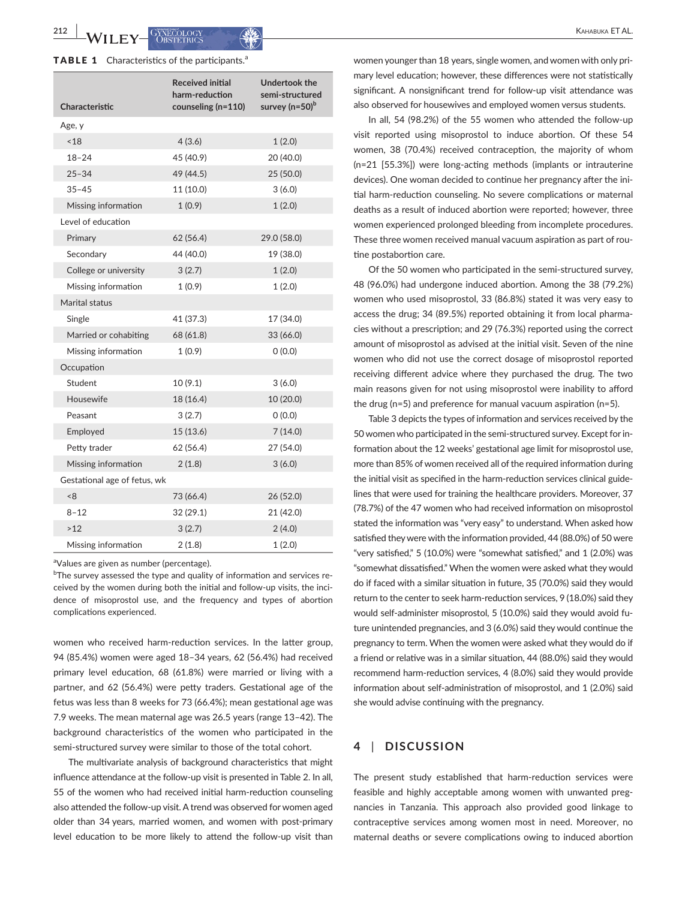**212 |**  Kahabuka ET AL.

|  |  |  |  |  |  | <b>TABLE 1</b> Characteristics of the participants. <sup>a</sup> |  |
|--|--|--|--|--|--|------------------------------------------------------------------|--|
|--|--|--|--|--|--|------------------------------------------------------------------|--|

| Characteristic               | <b>Received initial</b><br>harm-reduction<br>counseling (n=110) | <b>Undertook the</b><br>semi-structured<br>survey (n=50) <sup>b</sup> |
|------------------------------|-----------------------------------------------------------------|-----------------------------------------------------------------------|
| Age, y                       |                                                                 |                                                                       |
| ~18                          | 4(3.6)                                                          | 1(2.0)                                                                |
| $18 - 24$                    | 45 (40.9)                                                       | 20 (40.0)                                                             |
| $25 - 34$                    | 49 (44.5)                                                       | 25 (50.0)                                                             |
| $35 - 45$                    | 11 (10.0)                                                       | 3(6.0)                                                                |
| Missing information          | 1(0.9)                                                          | 1(2.0)                                                                |
| Level of education           |                                                                 |                                                                       |
| Primary                      | 62(56.4)                                                        | 29.0 (58.0)                                                           |
| Secondary                    | 44 (40.0)                                                       | 19 (38.0)                                                             |
| College or university        | 3(2.7)                                                          | 1(2.0)                                                                |
| Missing information          | 1(0.9)                                                          | 1(2.0)                                                                |
| Marital status               |                                                                 |                                                                       |
| Single                       | 41 (37.3)                                                       | 17 (34.0)                                                             |
| Married or cohabiting        | 68 (61.8)                                                       | 33 (66.0)                                                             |
| Missing information          | 1(0.9)                                                          | (0.0)                                                                 |
| Occupation                   |                                                                 |                                                                       |
| Student                      | 10(9.1)                                                         | 3(6.0)                                                                |
| Housewife                    | 18 (16.4)                                                       | 10 (20.0)                                                             |
| Peasant                      | 3(2.7)                                                          | (0.0)                                                                 |
| Employed                     | 15 (13.6)                                                       | 7(14.0)                                                               |
| Petty trader                 | 62 (56.4)                                                       | 27 (54.0)                                                             |
| Missing information          | 2(1.8)                                                          | 3(6.0)                                                                |
| Gestational age of fetus, wk |                                                                 |                                                                       |
| <8                           | 73 (66.4)                                                       | 26 (52.0)                                                             |
| $8 - 12$                     | 32(29.1)                                                        | 21 (42.0)                                                             |
| >12                          | 3(2.7)                                                          | 2(4.0)                                                                |
| Missing information          | 2 (1.8)                                                         | 1(2.0)                                                                |

<sup>a</sup>Values are given as number (percentage).

<sup>b</sup>The survey assessed the type and quality of information and services received by the women during both the initial and follow-up visits, the incidence of misoprostol use, and the frequency and types of abortion complications experienced.

women who received harm-reduction services. In the latter group, 94 (85.4%) women were aged 18–34 years, 62 (56.4%) had received primary level education, 68 (61.8%) were married or living with a partner, and 62 (56.4%) were petty traders. Gestational age of the fetus was less than 8 weeks for 73 (66.4%); mean gestational age was 7.9 weeks. The mean maternal age was 26.5 years (range 13–42). The background characteristics of the women who participated in the semi-structured survey were similar to those of the total cohort.

The multivariate analysis of background characteristics that might influence attendance at the follow-up visit is presented in Table 2. In all, 55 of the women who had received initial harm-reduction counseling also attended the follow-up visit. A trend was observed for women aged older than 34 years, married women, and women with post-primary level education to be more likely to attend the follow-up visit than

women younger than 18 years, single women, and women with only primary level education; however, these differences were not statistically significant. A nonsignificant trend for follow-up visit attendance was also observed for housewives and employed women versus students.

In all, 54 (98.2%) of the 55 women who attended the follow-up visit reported using misoprostol to induce abortion. Of these 54 women, 38 (70.4%) received contraception, the majority of whom (n=21 [55.3%]) were long-acting methods (implants or intrauterine devices). One woman decided to continue her pregnancy after the initial harm-reduction counseling. No severe complications or maternal deaths as a result of induced abortion were reported; however, three women experienced prolonged bleeding from incomplete procedures. These three women received manual vacuum aspiration as part of routine postabortion care.

Of the 50 women who participated in the semi-structured survey, 48 (96.0%) had undergone induced abortion. Among the 38 (79.2%) women who used misoprostol, 33 (86.8%) stated it was very easy to access the drug; 34 (89.5%) reported obtaining it from local pharmacies without a prescription; and 29 (76.3%) reported using the correct amount of misoprostol as advised at the initial visit. Seven of the nine women who did not use the correct dosage of misoprostol reported receiving different advice where they purchased the drug. The two main reasons given for not using misoprostol were inability to afford the drug (n=5) and preference for manual vacuum aspiration (n=5).

Table 3 depicts the types of information and services received by the 50 women who participated in the semi-structured survey. Except for information about the 12 weeks' gestational age limit for misoprostol use, more than 85% of women received all of the required information during the initial visit as specified in the harm-reduction services clinical guidelines that were used for training the healthcare providers. Moreover, 37 (78.7%) of the 47 women who had received information on misoprostol stated the information was "very easy" to understand. When asked how satisfied they were with the information provided, 44 (88.0%) of 50 were "very satisfied," 5 (10.0%) were "somewhat satisfied," and 1 (2.0%) was "somewhat dissatisfied." When the women were asked what they would do if faced with a similar situation in future, 35 (70.0%) said they would return to the center to seek harm-reduction services, 9 (18.0%) said they would self-administer misoprostol, 5 (10.0%) said they would avoid future unintended pregnancies, and 3 (6.0%) said they would continue the pregnancy to term. When the women were asked what they would do if a friend or relative was in a similar situation, 44 (88.0%) said they would recommend harm-reduction services, 4 (8.0%) said they would provide information about self-administration of misoprostol, and 1 (2.0%) said she would advise continuing with the pregnancy.

#### **4** | **DISCUSSION**

The present study established that harm-reduction services were feasible and highly acceptable among women with unwanted pregnancies in Tanzania. This approach also provided good linkage to contraceptive services among women most in need. Moreover, no maternal deaths or severe complications owing to induced abortion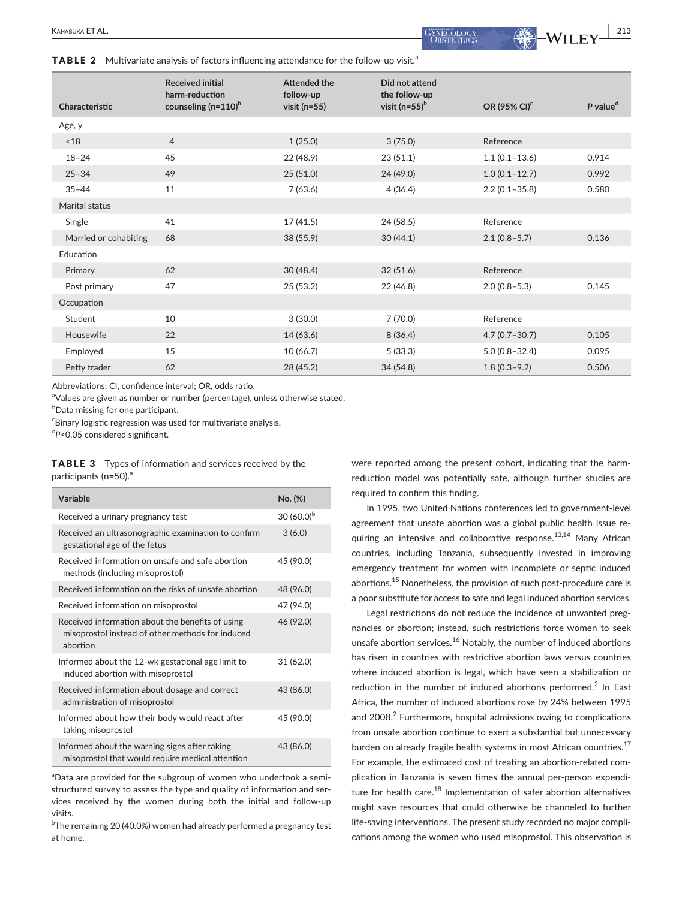**TABLE 2** Multivariate analysis of factors influencing attendance for the follow-up visit.<sup>a</sup>

| Characteristic        | <b>Received initial</b><br>harm-reduction<br>counseling $(n=110)^b$ | <b>Attended the</b><br>follow-up<br>visit ( $n=55$ ) | Did not attend<br>the follow-up<br>visit (n=55) $b$ | OR (95% CI) <sup>c</sup> | P value <sup>d</sup> |
|-----------------------|---------------------------------------------------------------------|------------------------------------------------------|-----------------------------------------------------|--------------------------|----------------------|
| Age, y                |                                                                     |                                                      |                                                     |                          |                      |
| ~18                   | $\overline{4}$                                                      | 1(25.0)                                              | 3(75.0)                                             | Reference                |                      |
| $18 - 24$             | 45                                                                  | 22 (48.9)                                            | 23(51.1)                                            | $1.1(0.1 - 13.6)$        | 0.914                |
| $25 - 34$             | 49                                                                  | 25(51.0)                                             | 24 (49.0)                                           | $1.0(0.1 - 12.7)$        | 0.992                |
| $35 - 44$             | 11                                                                  | 7(63.6)                                              | 4(36.4)                                             | $2.2(0.1 - 35.8)$        | 0.580                |
| Marital status        |                                                                     |                                                      |                                                     |                          |                      |
| Single                | 41                                                                  | 17(41.5)                                             | 24 (58.5)                                           | Reference                |                      |
| Married or cohabiting | 68                                                                  | 38 (55.9)                                            | 30(44.1)                                            | $2.1(0.8-5.7)$           | 0.136                |
| Education             |                                                                     |                                                      |                                                     |                          |                      |
| Primary               | 62                                                                  | 30(48.4)                                             | 32(51.6)                                            | Reference                |                      |
| Post primary          | 47                                                                  | 25(53.2)                                             | 22(46.8)                                            | $2.0(0.8-5.3)$           | 0.145                |
| Occupation            |                                                                     |                                                      |                                                     |                          |                      |
| Student               | 10                                                                  | 3(30.0)                                              | 7(70.0)                                             | Reference                |                      |
| Housewife             | 22                                                                  | 14(63.6)                                             | 8(36.4)                                             | $4.7(0.7 - 30.7)$        | 0.105                |
| Employed              | 15                                                                  | 10(66.7)                                             | 5(33.3)                                             | $5.0(0.8 - 32.4)$        | 0.095                |
| Petty trader          | 62                                                                  | 28 (45.2)                                            | 34 (54.8)                                           | $1.8(0.3-9.2)$           | 0.506                |

Abbreviations: CI, confidence interval; OR, odds ratio.

<sup>a</sup>Values are given as number or number (percentage), unless otherwise stated.

 $^{\rm b}$ Data missing for one participant.

<sup>c</sup>Binary logistic regression was used for multivariate analysis.

d *P*<0.05 considered significant.

TABLE 3 Types of information and services received by the participants ( $n=50$ ).<sup>a</sup>

| Variable                                                                                                         | No. (%)       |
|------------------------------------------------------------------------------------------------------------------|---------------|
| Received a urinary pregnancy test                                                                                | 30 $(60.0)^b$ |
| Received an ultrasonographic examination to confirm<br>gestational age of the fetus                              | 3(6.0)        |
| Received information on unsafe and safe abortion<br>methods (including misoprostol)                              | 45 (90.0)     |
| Received information on the risks of unsafe abortion                                                             | 48 (96.0)     |
| Received information on misoprostol                                                                              | 47 (94.0)     |
| Received information about the benefits of using<br>misoprostol instead of other methods for induced<br>abortion | 46 (92.0)     |
| Informed about the 12-wk gestational age limit to<br>induced abortion with misoprostol                           | 31(62.0)      |
| Received information about dosage and correct<br>administration of misoprostol                                   | 43 (86.0)     |
| Informed about how their body would react after<br>taking misoprostol                                            | 45 (90.0)     |
| Informed about the warning signs after taking<br>misoprostol that would require medical attention                | 43 (86.0)     |

<sup>a</sup>Data are provided for the subgroup of women who undertook a semistructured survey to assess the type and quality of information and services received by the women during both the initial and follow-up visits.

<sup>b</sup>The remaining 20 (40.0%) women had already performed a pregnancy test at home.

were reported among the present cohort, indicating that the harmreduction model was potentially safe, although further studies are required to confirm this finding.

In 1995, two United Nations conferences led to government-level agreement that unsafe abortion was a global public health issue requiring an intensive and collaborative response.<sup>13,14</sup> Many African countries, including Tanzania, subsequently invested in improving emergency treatment for women with incomplete or septic induced abortions.15 Nonetheless, the provision of such post-procedure care is a poor substitute for access to safe and legal induced abortion services.

Legal restrictions do not reduce the incidence of unwanted pregnancies or abortion; instead, such restrictions force women to seek unsafe abortion services.<sup>16</sup> Notably, the number of induced abortions has risen in countries with restrictive abortion laws versus countries where induced abortion is legal, which have seen a stabilization or reduction in the number of induced abortions performed.<sup>2</sup> In East Africa, the number of induced abortions rose by 24% between 1995 and 2008.<sup>2</sup> Furthermore, hospital admissions owing to complications from unsafe abortion continue to exert a substantial but unnecessary burden on already fragile health systems in most African countries.<sup>17</sup> For example, the estimated cost of treating an abortion-related complication in Tanzania is seven times the annual per-person expenditure for health care. $^{18}$  Implementation of safer abortion alternatives might save resources that could otherwise be channeled to further life-saving interventions. The present study recorded no major complications among the women who used misoprostol. This observation is